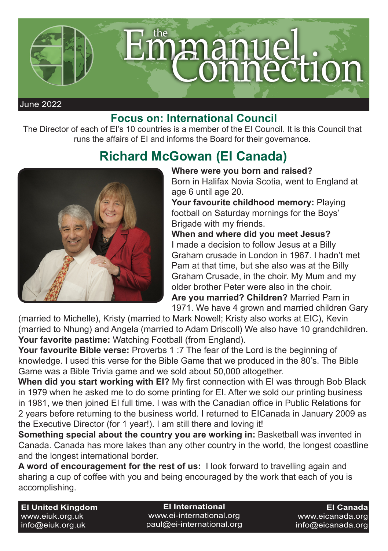

## **Focus on: International Council**

The Director of each of EI's 10 countries is a member of the EI Council. It is this Council that runs the affairs of EI and informs the Board for their governance.

## **Richard McGowan (EI Canada)**



## **Where were you born and raised?**

Born in Halifax Novia Scotia, went to England at age 6 until age 20.

Your favourite childhood memory: Playing football on Saturday mornings for the Boys' Brigade with my friends.

**When and where did you meet Jesus?** I made a decision to follow Jesus at a Billy Graham crusade in London in 1967. I hadn't met Pam at that time, but she also was at the Billy Graham Crusade, in the choir. My Mum and my older brother Peter were also in the choir. **Are you married? Children?** Married Pam in 1971. We have 4 grown and married children Gary

(married to Michelle), Kristy (married to Mark Nowell; Kristy also works at EIC), Kevin (married to Nhung) and Angela (married to Adam Driscoll) We also have 10 grandchildren. **Your favorite pastime:** Watching Football (from England).

**Your favourite Bible verse:** Proverbs 1 :7 The fear of the Lord is the beginning of knowledge. I used this verse for the Bible Game that we produced in the 80's. The Bible Game was a Bible Trivia game and we sold about 50,000 altogether.

**When did you start working with EI?** My first connection with EI was through Bob Black in 1979 when he asked me to do some printing for EI. After we sold our printing business in 1981, we then joined EI full time. I was with the Canadian office in Public Relations for 2 years before returning to the business world. I returned to EICanada in January 2009 as the Executive Director (for 1 year!). I am still there and loving it!

**Something special about the country you are working in:** Basketball was invented in Canada. Canada has more lakes than any other country in the world, the longest coastline and the longest international border.

**A word of encouragement for the rest of us:** I look forward to travelling again and sharing a cup of coffee with you and being encouraged by the work that each of you is accomplishing.

**EI United Kingdom** www.eiuk.org.uk info@eiuk.org.uk

**EI International** www.ei-international.org paul@ei-international.org

**EI Canada** www.eicanada.org info@eicanada.org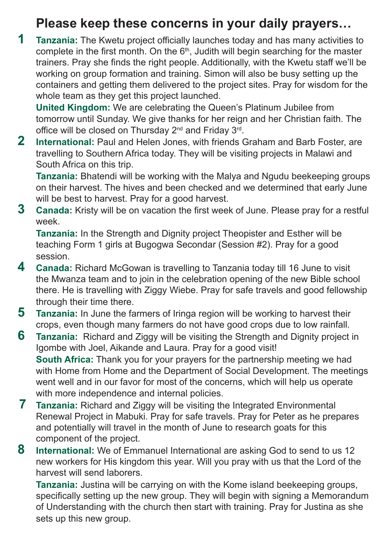## **Please keep these concerns in your daily prayers…**

**1 Tanzania:** The Kwetu project officially launches today and has many activities to complete in the first month. On the  $6<sup>th</sup>$ , Judith will begin searching for the master trainers. Pray she finds the right people. Additionally, with the Kwetu staff we'll be working on group formation and training. Simon will also be busy setting up the containers and getting them delivered to the project sites. Pray for wisdom for the whole team as they get this project launched.

**United Kingdom:** We are celebrating the Queen's Platinum Jubilee from tomorrow until Sunday. We give thanks for her reign and her Christian faith. The office will be closed on Thursday 2<sup>nd</sup> and Friday 3<sup>rd</sup>.

**2 International:** Paul and Helen Jones, with friends Graham and Barb Foster, are travelling to Southern Africa today. They will be visiting projects in Malawi and South Africa on this trip.

**Tanzania:** Bhatendi will be working with the Malya and Ngudu beekeeping groups on their harvest. The hives and been checked and we determined that early June will be best to harvest. Pray for a good harvest.

**3 Canada:** Kristy will be on vacation the first week of June. Please pray for a restful week.

**Tanzania:** In the Strength and Dignity project Theopister and Esther will be teaching Form 1 girls at Bugogwa Secondar (Session #2). Pray for a good session.

- **4 Canada:** Richard McGowan is travelling to Tanzania today till 16 June to visit the Mwanza team and to join in the celebration opening of the new Bible school there. He is travelling with Ziggy Wiebe. Pray for safe travels and good fellowship through their time there.
- **5 Tanzania:** In June the farmers of Iringa region will be working to harvest their crops, even though many farmers do not have good crops due to low rainfall.
- **6 Tanzania:** Richard and Ziggy will be visiting the Strength and Dignity project in Igombe with Joel, Aikande and Laura. Pray for a good visit! **South Africa:** Thank you for your prayers for the partnership meeting we had with Home from Home and the Department of Social Development. The meetings went well and in our favor for most of the concerns, which will help us operate with more independence and internal policies.
- **7 Tanzania:** Richard and Ziggy will be visiting the Integrated Environmental Renewal Project in Mabuki. Pray for safe travels. Pray for Peter as he prepares and potentially will travel in the month of June to research goats for this component of the project.
- **8 International:** We of Emmanuel International are asking God to send to us 12 new workers for His kingdom this year. Will you pray with us that the Lord of the harvest will send laborers.

**Tanzania:** Justina will be carrying on with the Kome island beekeeping groups, specifically setting up the new group. They will begin with signing a Memorandum of Understanding with the church then start with training. Pray for Justina as she sets up this new group.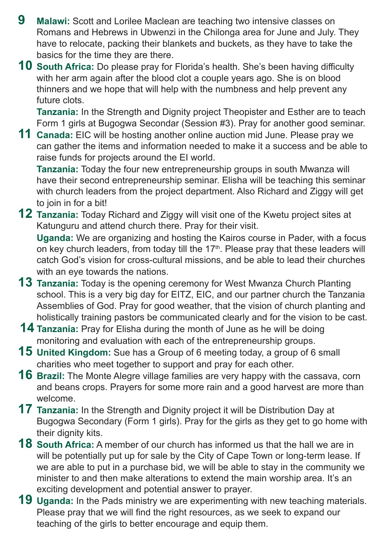- **9 Malawi:** Scott and Lorilee Maclean are teaching two intensive classes on Romans and Hebrews in Ubwenzi in the Chilonga area for June and July. They have to relocate, packing their blankets and buckets, as they have to take the basics for the time they are there.
- **10 South Africa:** Do please pray for Florida's health. She's been having difficulty with her arm again after the blood clot a couple years ago. She is on blood thinners and we hope that will help with the numbness and help prevent any future clots.

**Tanzania:** In the Strength and Dignity project Theopister and Esther are to teach Form 1 girls at Bugogwa Secondar (Session #3). Pray for another good seminar.

**11 Canada:** EIC will be hosting another online auction mid June. Please pray we can gather the items and information needed to make it a success and be able to raise funds for projects around the EI world.

**Tanzania:** Today the four new entrepreneurship groups in south Mwanza will have their second entrepreneurship seminar. Elisha will be teaching this seminar with church leaders from the project department. Also Richard and Ziggy will get to join in for a bit!

**12 Tanzania:** Today Richard and Ziggy will visit one of the Kwetu project sites at Katunguru and attend church there. Pray for their visit.

**Uganda:** We are organizing and hosting the Kairos course in Pader, with a focus on key church leaders, from today till the 17<sup>th</sup>. Please pray that these leaders will catch God's vision for cross-cultural missions, and be able to lead their churches with an eve towards the nations.

- **13 Tanzania:** Today is the opening ceremony for West Mwanza Church Planting school. This is a very big day for EITZ, EIC, and our partner church the Tanzania Assemblies of God. Pray for good weather, that the vision of church planting and holistically training pastors be communicated clearly and for the vision to be cast.
- **14 Tanzania:** Pray for Elisha during the month of June as he will be doing monitoring and evaluation with each of the entrepreneurship groups.
- **15 United Kingdom:** Sue has a Group of 6 meeting today, a group of 6 small charities who meet together to support and pray for each other.
- **16 Brazil:** The Monte Alegre village families are very happy with the cassava, corn and beans crops. Prayers for some more rain and a good harvest are more than welcome.
- **17 Tanzania:** In the Strength and Dignity project it will be Distribution Day at Bugogwa Secondary (Form 1 girls). Pray for the girls as they get to go home with their dignity kits.
- **18 South Africa:** A member of our church has informed us that the hall we are in will be potentially put up for sale by the City of Cape Town or long-term lease. If we are able to put in a purchase bid, we will be able to stay in the community we minister to and then make alterations to extend the main worship area. It's an exciting development and potential answer to prayer.
- **19 Uganda:** In the Pads ministry we are experimenting with new teaching materials. Please pray that we will find the right resources, as we seek to expand our teaching of the girls to better encourage and equip them.